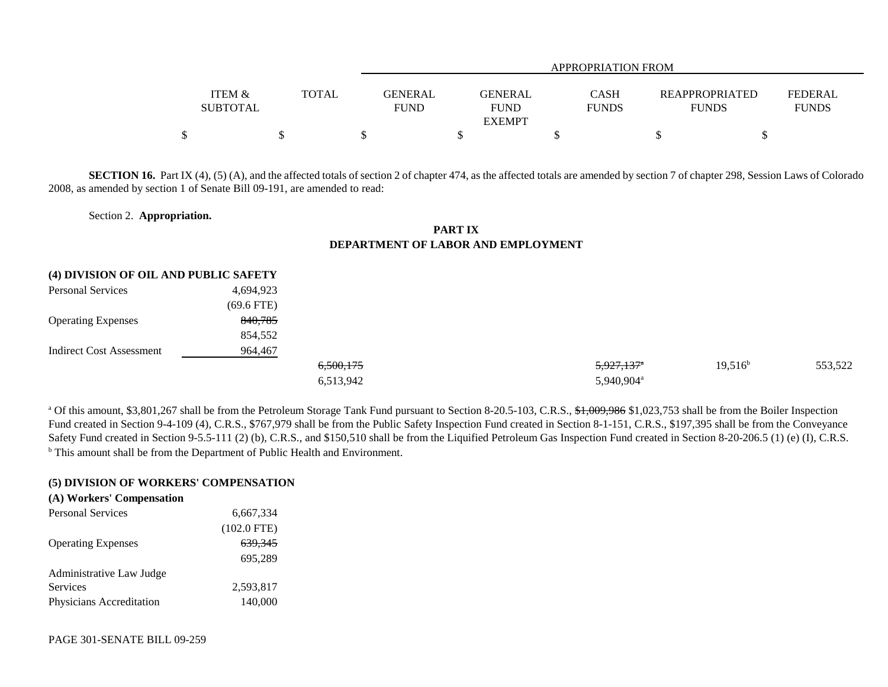|                                      |              |                        | APPROPRIATION FROM                             |                             |                                       |                                |  |  |  |
|--------------------------------------|--------------|------------------------|------------------------------------------------|-----------------------------|---------------------------------------|--------------------------------|--|--|--|
| <b>ITEM &amp;</b><br><b>SUBTOTAL</b> | <b>TOTAL</b> | GENERAL<br><b>FUND</b> | <b>GENERAL</b><br><b>FUND</b><br><b>EXEMPT</b> | <b>CASH</b><br><b>FUNDS</b> | <b>REAPPROPRIATED</b><br><b>FUNDS</b> | <b>FEDERAL</b><br><b>FUNDS</b> |  |  |  |
|                                      |              |                        |                                                |                             |                                       |                                |  |  |  |

**SECTION 16.** Part IX (4), (5) (A), and the affected totals of section 2 of chapter 474, as the affected totals are amended by section 7 of chapter 298, Session Laws of Colorado 2008, as amended by section 1 of Senate Bill 09-191, are amended to read:

## Section 2. **Appropriation.**

## **PART IXDEPARTMENT OF LABOR AND EMPLOYMENT**

| (4) DIVISION OF OIL AND PUBLIC SAFETY |              |                      |                        |            |         |
|---------------------------------------|--------------|----------------------|------------------------|------------|---------|
| <b>Personal Services</b>              | 4,694,923    |                      |                        |            |         |
|                                       | $(69.6$ FTE) |                      |                        |            |         |
| <b>Operating Expenses</b>             | 840,785      |                      |                        |            |         |
|                                       | 854,552      |                      |                        |            |         |
| Indirect Cost Assessment              | 964,467      |                      |                        |            |         |
|                                       |              | <del>6,500,175</del> | 5,927,137 <sup>*</sup> | $19,516^b$ | 553,522 |
|                                       |              | 6,513,942            | 5,940,904 <sup>a</sup> |            |         |

<sup>a</sup> Of this amount, \$3,801,267 shall be from the Petroleum Storage Tank Fund pursuant to Section 8-20.5-103, C.R.S., \$1,009,986 \$1,023,753 shall be from the Boiler Inspection Fund created in Section 9-4-109 (4), C.R.S., \$767,979 shall be from the Public Safety Inspection Fund created in Section 8-1-151, C.R.S., \$197,395 shall be from the Conveyance Safety Fund created in Section 9-5.5-111 (2) (b), C.R.S., and \$150,510 shall be from the Liquified Petroleum Gas Inspection Fund created in Section 8-20-206.5 (1) (e) (I), C.R.S. <sup>b</sup> This amount shall be from the Department of Public Health and Environment.

## **(5) DIVISION OF WORKERS' COMPENSATION**

| (A) Workers' Compensation |                    |
|---------------------------|--------------------|
| <b>Personal Services</b>  | 6,667,334          |
|                           | $(102.0$ FTE)      |
| <b>Operating Expenses</b> | <del>639.345</del> |
|                           | 695.289            |
| Administrative Law Judge  |                    |
| Services                  | 2,593,817          |
| Physicians Accreditation  | 140,000            |